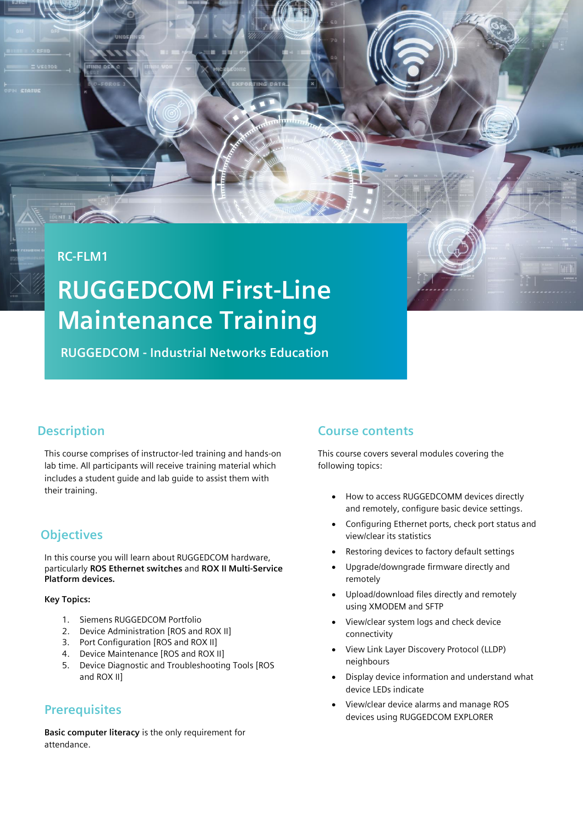### **RC-FLM1**

# **RUGGEDCOM First-Line Maintenance Training**

**RUGGEDCOM - Industrial Networks Education**

## **Description**

This course comprises of instructor-led training and hands-on lab time. All participants will receive training material which includes a student guide and lab guide to assist them with their training.

## **Objectives**

In this course you will learn about RUGGEDCOM hardware, particularly **ROS Ethernet switches** and **ROX II Multi-Service Platform devices.**

#### **Key Topics:**

- 1. Siemens RUGGEDCOM Portfolio
- 2. Device Administration [ROS and ROX II]
- 3. Port Configuration [ROS and ROX II]
- 4. Device Maintenance [ROS and ROX II]
- 5. Device Diagnostic and Troubleshooting Tools [ROS and ROX II]

#### **Prerequisites**

**Basic computer literacy** is the only requirement for attendance.

#### **Course contents**

This course covers several modules covering the following topics:

- How to access RUGGEDCOMM devices directly and remotely, configure basic device settings.
- Configuring Ethernet ports, check port status and view/clear its statistics
- Restoring devices to factory default settings
- Upgrade/downgrade firmware directly and remotely
- Upload/download files directly and remotely using XMODEM and SFTP
- View/clear system logs and check device connectivity
- View Link Layer Discovery Protocol (LLDP) neighbours
- Display device information and understand what device LEDs indicate
- View/clear device alarms and manage ROS devices using RUGGEDCOM EXPLORER